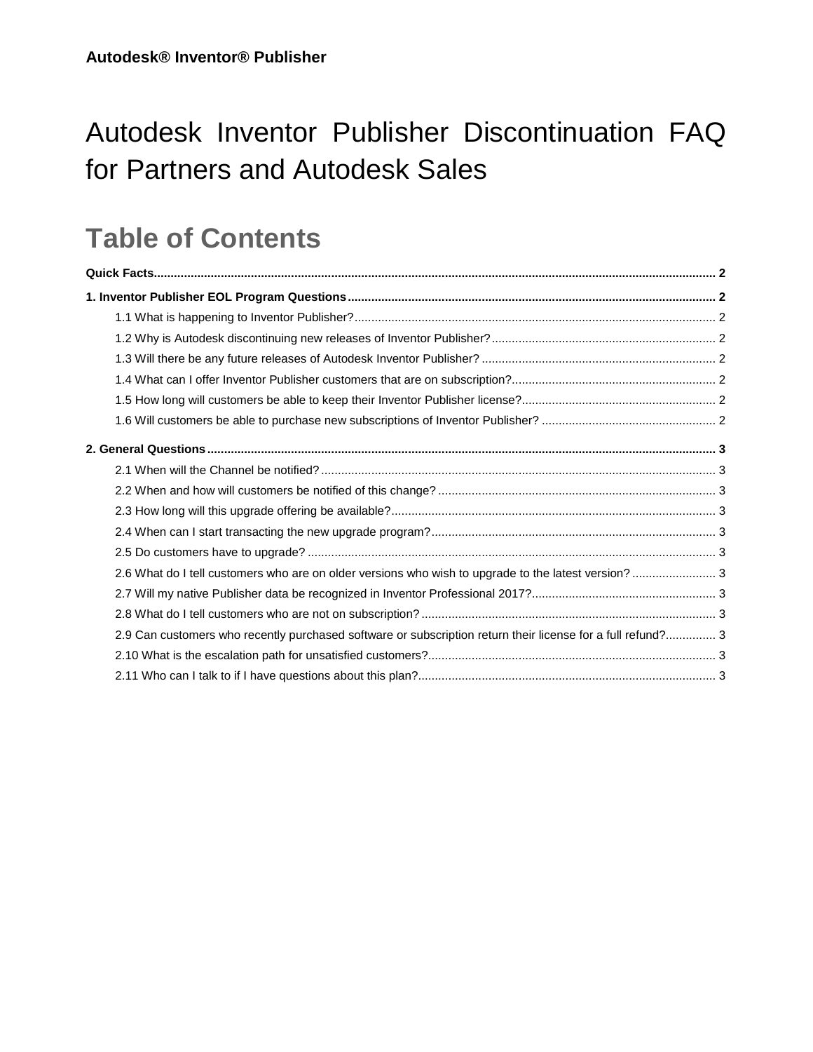# Autodesk Inventor Publisher Discontinuation FAQ for Partners and Autodesk Sales

## **Table of Contents**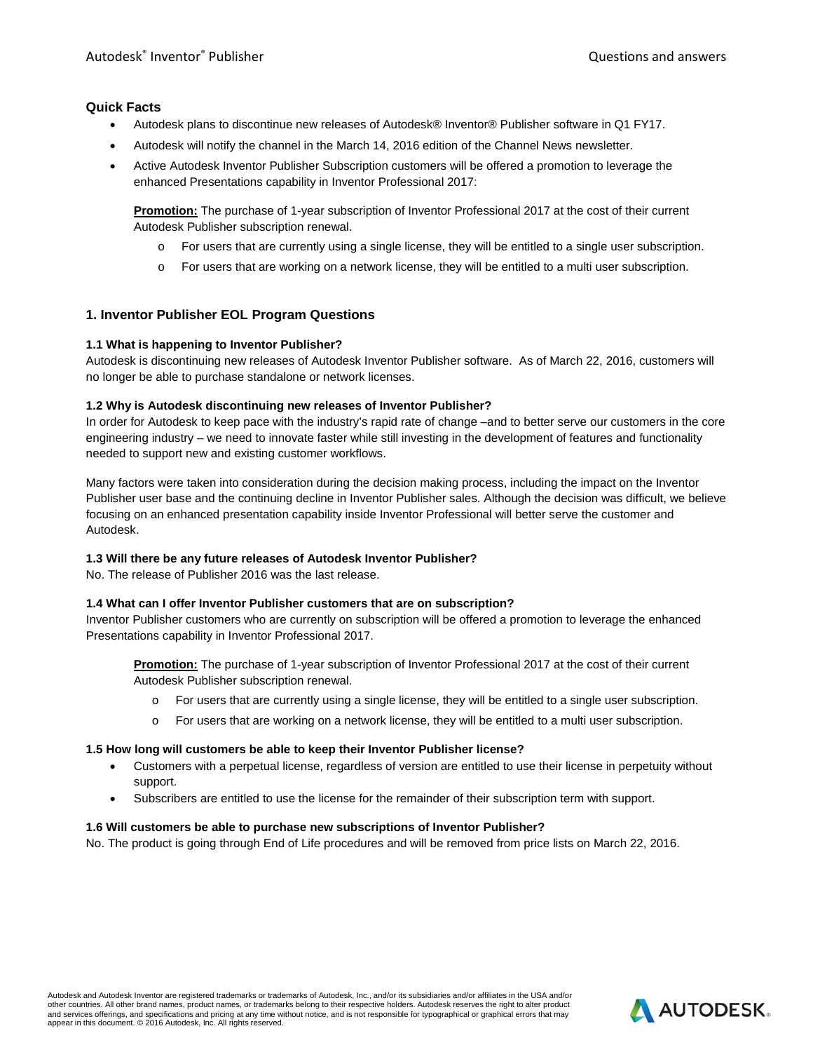#### **Quick Facts**

- Autodesk plans to discontinue new releases of Autodesk® Inventor® Publisher software in Q1 FY17.
- Autodesk will notify the channel in the March 14, 2016 edition of the Channel News newsletter.
- Active Autodesk Inventor Publisher Subscription customers will be offered a promotion to leverage the enhanced Presentations capability in Inventor Professional 2017:

**Promotion:** The purchase of 1-year subscription of Inventor Professional 2017 at the cost of their current Autodesk Publisher subscription renewal.

- o For users that are currently using a single license, they will be entitled to a single user subscription.
- o For users that are working on a network license, they will be entitled to a multi user subscription.

## **1. Inventor Publisher EOL Program Questions**

#### **1.1 What is happening to Inventor Publisher?**

Autodesk is discontinuing new releases of Autodesk Inventor Publisher software. As of March 22, 2016, customers will no longer be able to purchase standalone or network licenses.

#### **1.2 Why is Autodesk discontinuing new releases of Inventor Publisher?**

In order for Autodesk to keep pace with the industry's rapid rate of change –and to better serve our customers in the core engineering industry – we need to innovate faster while still investing in the development of features and functionality needed to support new and existing customer workflows.

Many factors were taken into consideration during the decision making process, including the impact on the Inventor Publisher user base and the continuing decline in Inventor Publisher sales. Although the decision was difficult, we believe focusing on an enhanced presentation capability inside Inventor Professional will better serve the customer and Autodesk.

#### **1.3 Will there be any future releases of Autodesk Inventor Publisher?**

No. The release of Publisher 2016 was the last release.

#### **1.4 What can I offer Inventor Publisher customers that are on subscription?**

Inventor Publisher customers who are currently on subscription will be offered a promotion to leverage the enhanced Presentations capability in Inventor Professional 2017.

**Promotion:** The purchase of 1-year subscription of Inventor Professional 2017 at the cost of their current Autodesk Publisher subscription renewal.

- o For users that are currently using a single license, they will be entitled to a single user subscription.
- o For users that are working on a network license, they will be entitled to a multi user subscription.

#### **1.5 How long will customers be able to keep their Inventor Publisher license?**

- Customers with a perpetual license, regardless of version are entitled to use their license in perpetuity without support.
- Subscribers are entitled to use the license for the remainder of their subscription term with support.

#### **1.6 Will customers be able to purchase new subscriptions of Inventor Publisher?**

No. The product is going through End of Life procedures and will be removed from price lists on March 22, 2016.